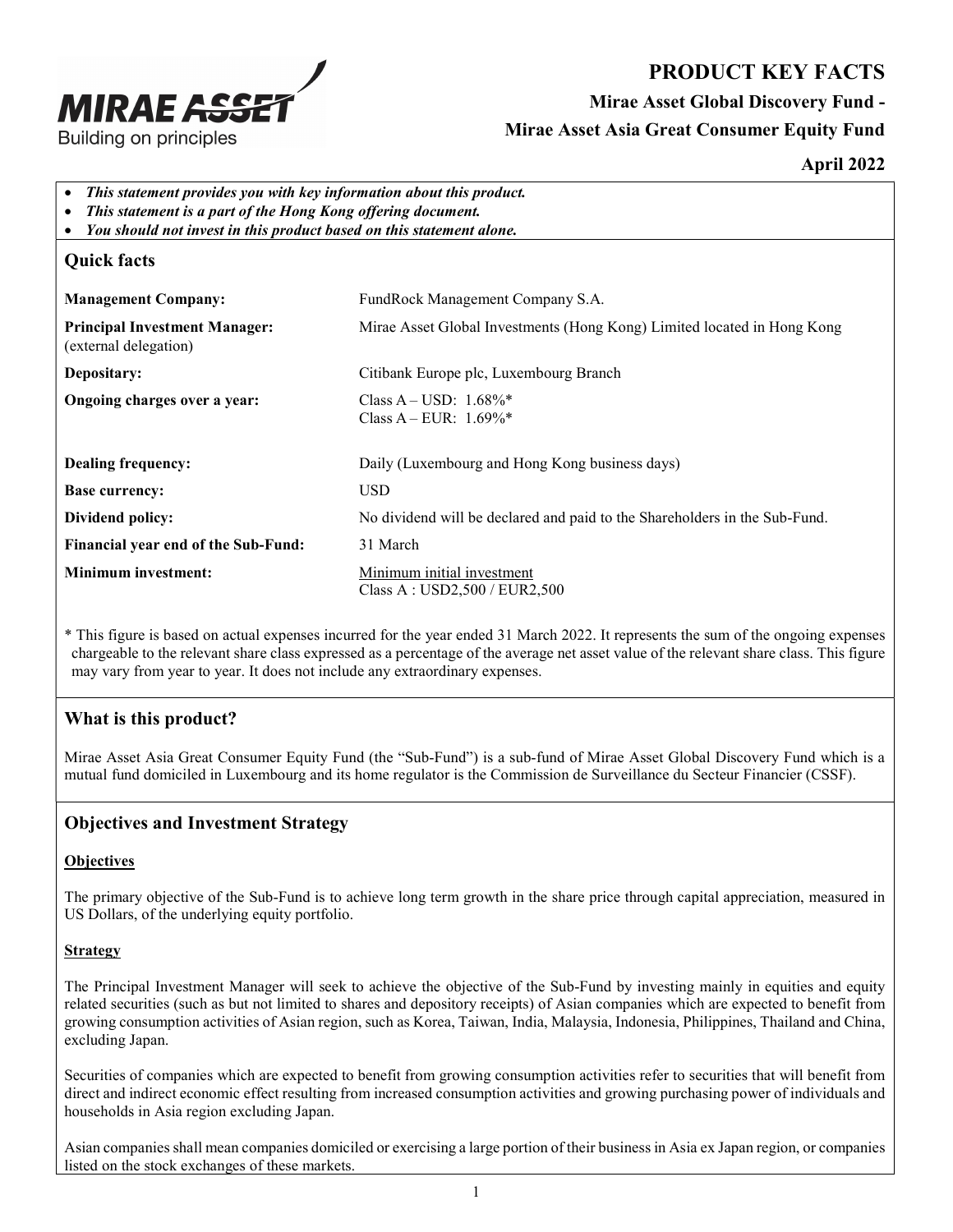

# PRODUCT KEY FACTS Mirae Asset Global Discovery Fund - Mirae Asset Asia Great Consumer Equity Fund

#### April 2022

- This statement provides you with key information about this product.
- This statement is a part of the Hong Kong offering document.
- You should not invest in this product based on this statement alone.

## Quick facts

| <b>Management Company:</b>                                    | FundRock Management Company S.A.                                           |
|---------------------------------------------------------------|----------------------------------------------------------------------------|
| <b>Principal Investment Manager:</b><br>(external delegation) | Mirae Asset Global Investments (Hong Kong) Limited located in Hong Kong    |
| Depositary:                                                   | Citibank Europe plc, Luxembourg Branch                                     |
| Ongoing charges over a year:                                  | Class A – USD: $1.68\%$ <sup>*</sup><br>Class A – EUR: $1.69\%*$           |
| Dealing frequency:                                            | Daily (Luxembourg and Hong Kong business days)                             |
| <b>Base currency:</b>                                         | <b>USD</b>                                                                 |
| Dividend policy:                                              | No dividend will be declared and paid to the Shareholders in the Sub-Fund. |
| Financial year end of the Sub-Fund:                           | 31 March                                                                   |
| <b>Minimum investment:</b>                                    | Minimum initial investment<br>Class A : USD2,500 / EUR2,500                |

\* This figure is based on actual expenses incurred for the year ended 31 March 2022. It represents the sum of the ongoing expenses chargeable to the relevant share class expressed as a percentage of the average net asset value of the relevant share class. This figure may vary from year to year. It does not include any extraordinary expenses.

### What is this product?

Mirae Asset Asia Great Consumer Equity Fund (the "Sub-Fund") is a sub-fund of Mirae Asset Global Discovery Fund which is a mutual fund domiciled in Luxembourg and its home regulator is the Commission de Surveillance du Secteur Financier (CSSF).

### Objectives and Investment Strategy

#### **Objectives**

The primary objective of the Sub-Fund is to achieve long term growth in the share price through capital appreciation, measured in US Dollars, of the underlying equity portfolio.

#### **Strategy**

The Principal Investment Manager will seek to achieve the objective of the Sub-Fund by investing mainly in equities and equity related securities (such as but not limited to shares and depository receipts) of Asian companies which are expected to benefit from growing consumption activities of Asian region, such as Korea, Taiwan, India, Malaysia, Indonesia, Philippines, Thailand and China, excluding Japan.

Securities of companies which are expected to benefit from growing consumption activities refer to securities that will benefit from direct and indirect economic effect resulting from increased consumption activities and growing purchasing power of individuals and households in Asia region excluding Japan.

Asian companies shall mean companies domiciled or exercising a large portion of their business in Asia ex Japan region, or companies listed on the stock exchanges of these markets.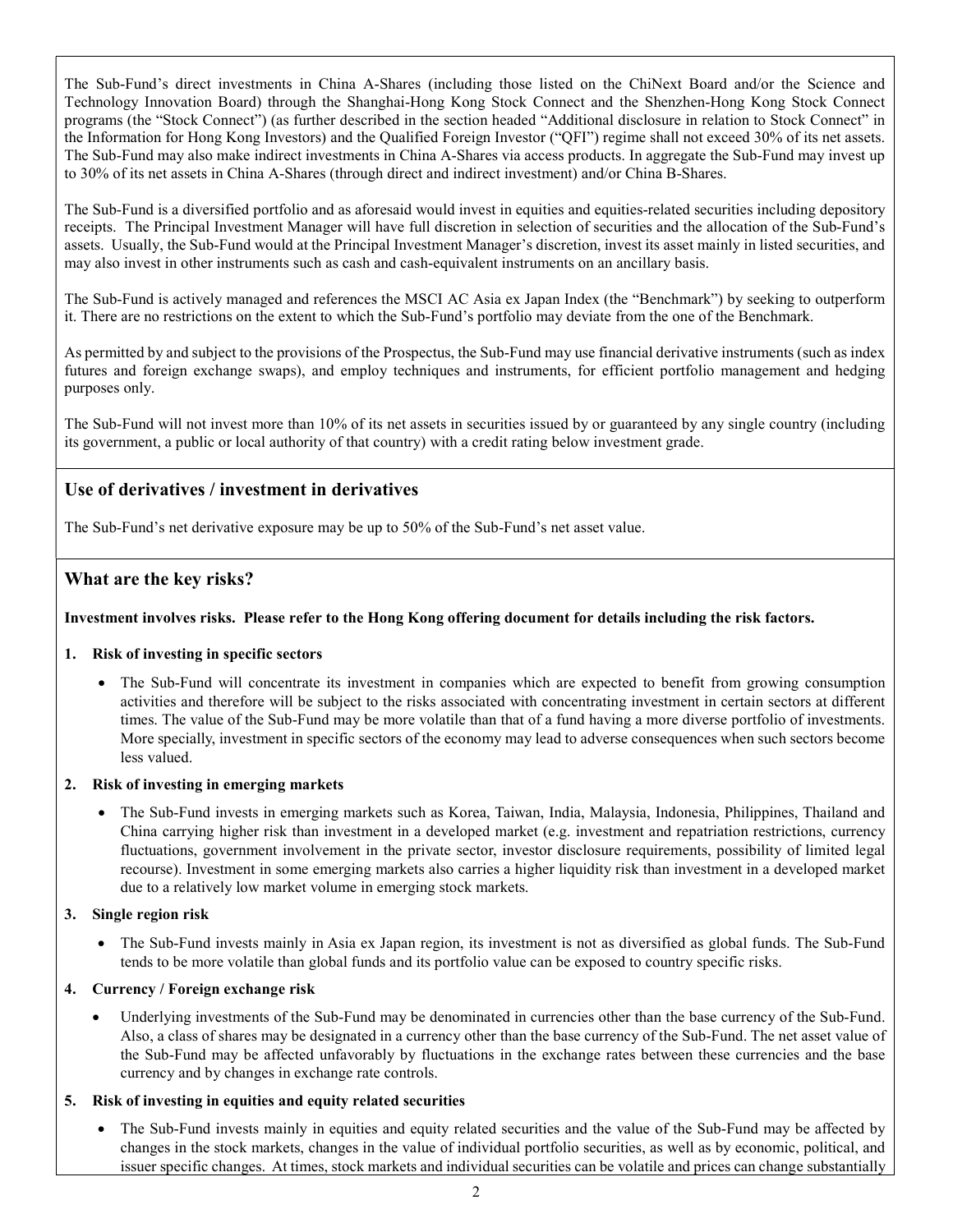The Sub-Fund's direct investments in China A-Shares (including those listed on the ChiNext Board and/or the Science and Technology Innovation Board) through the Shanghai-Hong Kong Stock Connect and the Shenzhen-Hong Kong Stock Connect programs (the "Stock Connect") (as further described in the section headed "Additional disclosure in relation to Stock Connect" in the Information for Hong Kong Investors) and the Qualified Foreign Investor ("QFI") regime shall not exceed 30% of its net assets. The Sub-Fund may also make indirect investments in China A-Shares via access products. In aggregate the Sub-Fund may invest up to 30% of its net assets in China A-Shares (through direct and indirect investment) and/or China B-Shares.

The Sub-Fund is a diversified portfolio and as aforesaid would invest in equities and equities-related securities including depository receipts. The Principal Investment Manager will have full discretion in selection of securities and the allocation of the Sub-Fund's assets. Usually, the Sub-Fund would at the Principal Investment Manager's discretion, invest its asset mainly in listed securities, and may also invest in other instruments such as cash and cash-equivalent instruments on an ancillary basis.

The Sub-Fund is actively managed and references the MSCI AC Asia ex Japan Index (the "Benchmark") by seeking to outperform it. There are no restrictions on the extent to which the Sub-Fund's portfolio may deviate from the one of the Benchmark.

As permitted by and subject to the provisions of the Prospectus, the Sub-Fund may use financial derivative instruments (such as index futures and foreign exchange swaps), and employ techniques and instruments, for efficient portfolio management and hedging purposes only.

The Sub-Fund will not invest more than 10% of its net assets in securities issued by or guaranteed by any single country (including its government, a public or local authority of that country) with a credit rating below investment grade.

#### Use of derivatives / investment in derivatives

The Sub-Fund's net derivative exposure may be up to 50% of the Sub-Fund's net asset value.

#### What are the key risks?

#### Investment involves risks. Please refer to the Hong Kong offering document for details including the risk factors.

#### 1. Risk of investing in specific sectors

• The Sub-Fund will concentrate its investment in companies which are expected to benefit from growing consumption activities and therefore will be subject to the risks associated with concentrating investment in certain sectors at different times. The value of the Sub-Fund may be more volatile than that of a fund having a more diverse portfolio of investments. More specially, investment in specific sectors of the economy may lead to adverse consequences when such sectors become less valued.

#### 2. Risk of investing in emerging markets

 The Sub-Fund invests in emerging markets such as Korea, Taiwan, India, Malaysia, Indonesia, Philippines, Thailand and China carrying higher risk than investment in a developed market (e.g. investment and repatriation restrictions, currency fluctuations, government involvement in the private sector, investor disclosure requirements, possibility of limited legal recourse). Investment in some emerging markets also carries a higher liquidity risk than investment in a developed market due to a relatively low market volume in emerging stock markets.

#### 3. Single region risk

• The Sub-Fund invests mainly in Asia ex Japan region, its investment is not as diversified as global funds. The Sub-Fund tends to be more volatile than global funds and its portfolio value can be exposed to country specific risks.

#### 4. Currency / Foreign exchange risk

 Underlying investments of the Sub-Fund may be denominated in currencies other than the base currency of the Sub-Fund. Also, a class of shares may be designated in a currency other than the base currency of the Sub-Fund. The net asset value of the Sub-Fund may be affected unfavorably by fluctuations in the exchange rates between these currencies and the base currency and by changes in exchange rate controls.

#### 5. Risk of investing in equities and equity related securities

 The Sub-Fund invests mainly in equities and equity related securities and the value of the Sub-Fund may be affected by changes in the stock markets, changes in the value of individual portfolio securities, as well as by economic, political, and issuer specific changes. At times, stock markets and individual securities can be volatile and prices can change substantially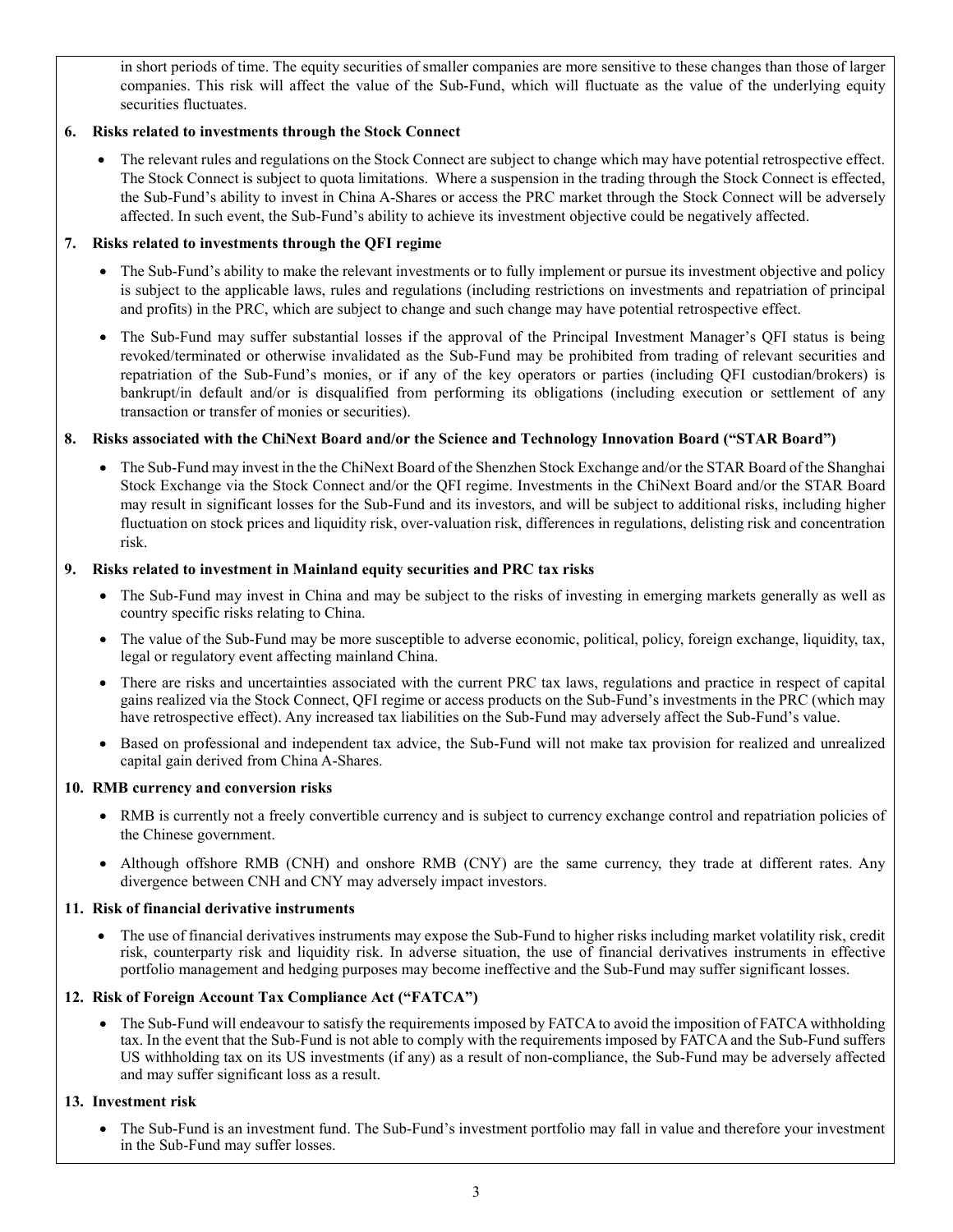in short periods of time. The equity securities of smaller companies are more sensitive to these changes than those of larger companies. This risk will affect the value of the Sub-Fund, which will fluctuate as the value of the underlying equity securities fluctuates.

#### 6. Risks related to investments through the Stock Connect

 The relevant rules and regulations on the Stock Connect are subject to change which may have potential retrospective effect. The Stock Connect is subject to quota limitations. Where a suspension in the trading through the Stock Connect is effected, the Sub-Fund's ability to invest in China A-Shares or access the PRC market through the Stock Connect will be adversely affected. In such event, the Sub-Fund's ability to achieve its investment objective could be negatively affected.

#### 7. Risks related to investments through the QFI regime

- The Sub-Fund's ability to make the relevant investments or to fully implement or pursue its investment objective and policy is subject to the applicable laws, rules and regulations (including restrictions on investments and repatriation of principal and profits) in the PRC, which are subject to change and such change may have potential retrospective effect.
- The Sub-Fund may suffer substantial losses if the approval of the Principal Investment Manager's OFI status is being revoked/terminated or otherwise invalidated as the Sub-Fund may be prohibited from trading of relevant securities and repatriation of the Sub-Fund's monies, or if any of the key operators or parties (including QFI custodian/brokers) is bankrupt/in default and/or is disqualified from performing its obligations (including execution or settlement of any transaction or transfer of monies or securities).

#### 8. Risks associated with the ChiNext Board and/or the Science and Technology Innovation Board ("STAR Board")

 The Sub-Fund may invest in the the ChiNext Board of the Shenzhen Stock Exchange and/or the STAR Board of the Shanghai Stock Exchange via the Stock Connect and/or the QFI regime. Investments in the ChiNext Board and/or the STAR Board may result in significant losses for the Sub-Fund and its investors, and will be subject to additional risks, including higher fluctuation on stock prices and liquidity risk, over-valuation risk, differences in regulations, delisting risk and concentration risk.

#### 9. Risks related to investment in Mainland equity securities and PRC tax risks

- The Sub-Fund may invest in China and may be subject to the risks of investing in emerging markets generally as well as country specific risks relating to China.
- The value of the Sub-Fund may be more susceptible to adverse economic, political, policy, foreign exchange, liquidity, tax, legal or regulatory event affecting mainland China.
- There are risks and uncertainties associated with the current PRC tax laws, regulations and practice in respect of capital gains realized via the Stock Connect, QFI regime or access products on the Sub-Fund's investments in the PRC (which may have retrospective effect). Any increased tax liabilities on the Sub-Fund may adversely affect the Sub-Fund's value.
- Based on professional and independent tax advice, the Sub-Fund will not make tax provision for realized and unrealized capital gain derived from China A-Shares.

#### 10. RMB currency and conversion risks

- RMB is currently not a freely convertible currency and is subject to currency exchange control and repatriation policies of the Chinese government.
- Although offshore RMB (CNH) and onshore RMB (CNY) are the same currency, they trade at different rates. Any divergence between CNH and CNY may adversely impact investors.

#### 11. Risk of financial derivative instruments

 The use of financial derivatives instruments may expose the Sub-Fund to higher risks including market volatility risk, credit risk, counterparty risk and liquidity risk. In adverse situation, the use of financial derivatives instruments in effective portfolio management and hedging purposes may become ineffective and the Sub-Fund may suffer significant losses.

#### 12. Risk of Foreign Account Tax Compliance Act ("FATCA")

 The Sub-Fund will endeavour to satisfy the requirements imposed by FATCA to avoid the imposition of FATCA withholding tax. In the event that the Sub-Fund is not able to comply with the requirements imposed by FATCA and the Sub-Fund suffers US withholding tax on its US investments (if any) as a result of non-compliance, the Sub-Fund may be adversely affected and may suffer significant loss as a result.

#### 13. Investment risk

 The Sub-Fund is an investment fund. The Sub-Fund's investment portfolio may fall in value and therefore your investment in the Sub-Fund may suffer losses.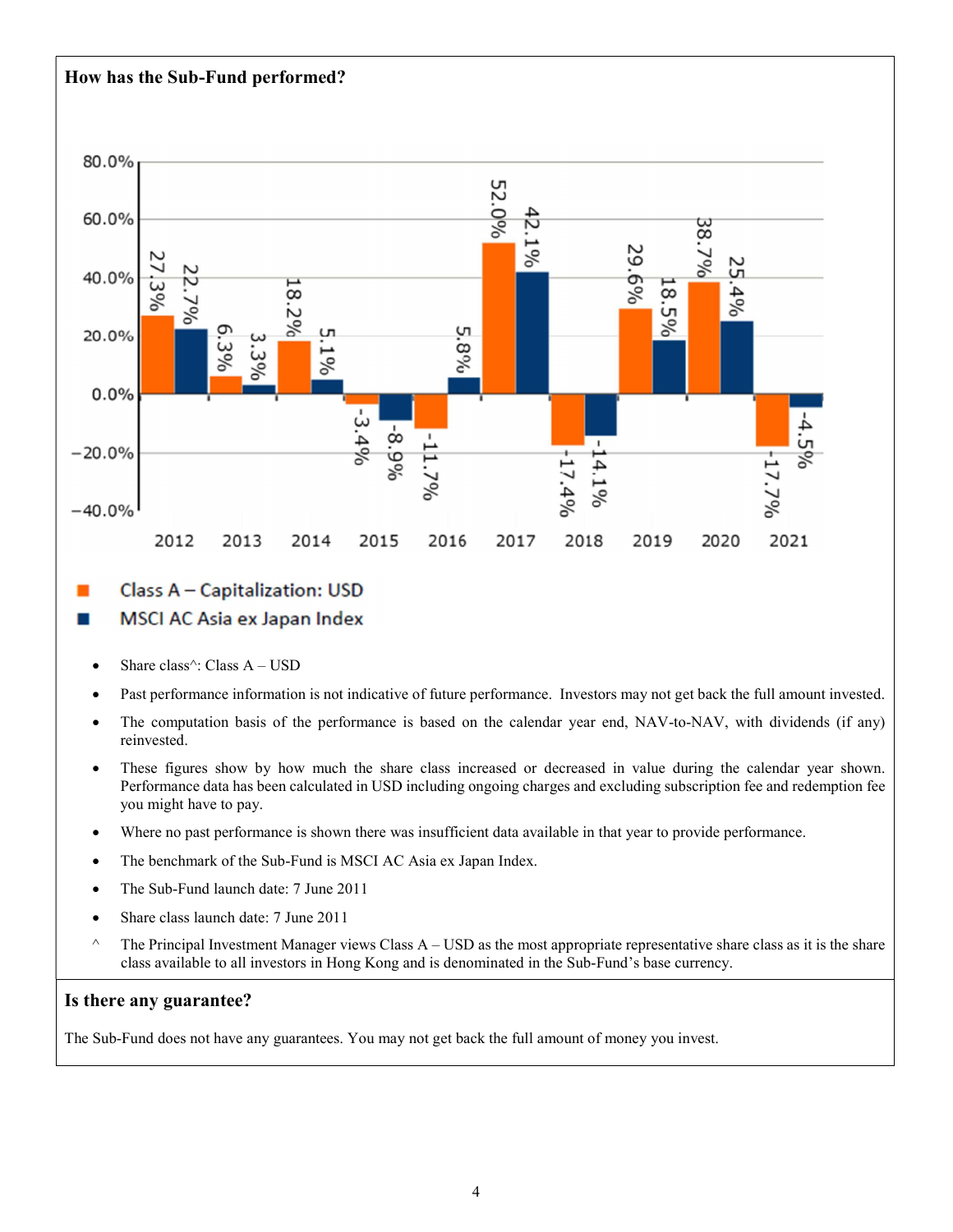### How has the Sub-Fund performed?



### Class A - Capitalization: USD

#### MSCI AC Asia ex Japan Index ш

- Share class $\hat{A}$  USD
- Past performance information is not indicative of future performance. Investors may not get back the full amount invested.
- The computation basis of the performance is based on the calendar year end, NAV-to-NAV, with dividends (if any) reinvested.
- These figures show by how much the share class increased or decreased in value during the calendar year shown. Performance data has been calculated in USD including ongoing charges and excluding subscription fee and redemption fee you might have to pay.
- Where no past performance is shown there was insufficient data available in that year to provide performance.
- The benchmark of the Sub-Fund is MSCI AC Asia ex Japan Index.
- The Sub-Fund launch date: 7 June 2011
- Share class launch date: 7 June 2011
- $\land$  The Principal Investment Manager views Class A USD as the most appropriate representative share class as it is the share class available to all investors in Hong Kong and is denominated in the Sub-Fund's base currency.

#### Is there any guarantee?

The Sub-Fund does not have any guarantees. You may not get back the full amount of money you invest.